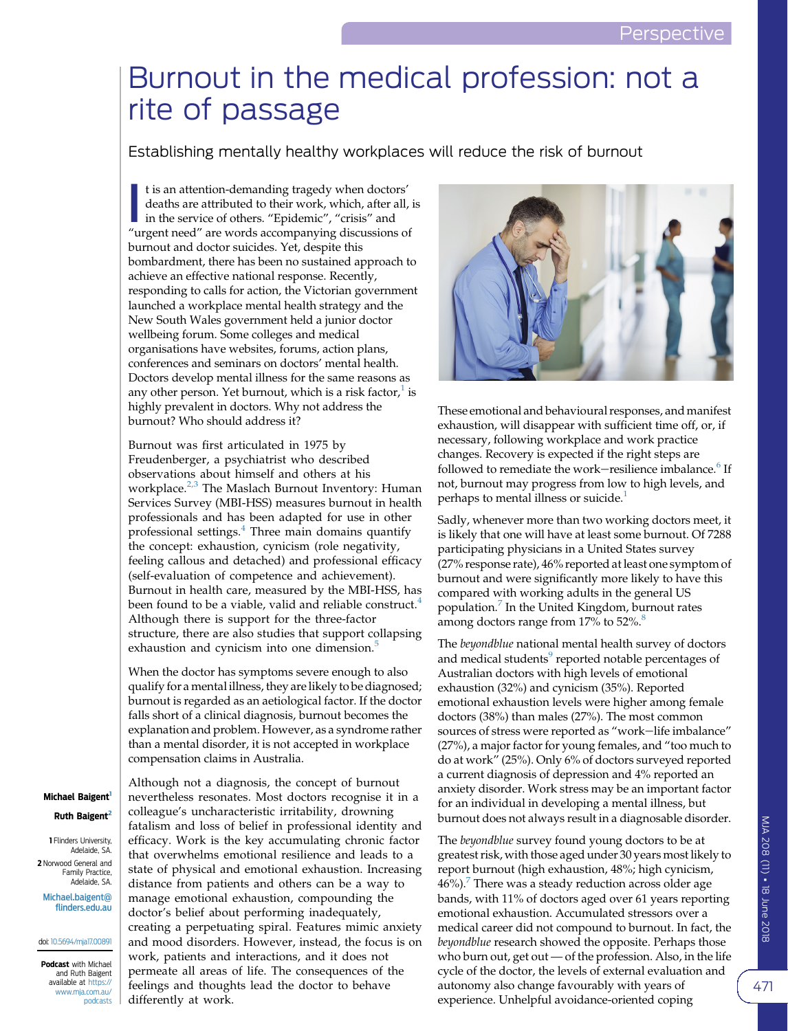## Burnout in the medical profession: not a rite of passage

Establishing mentally healthy workplaces will reduce the risk of burnout

It is an attention-demanding tragedy when doctors'<br>deaths are attributed to their work, which, after all,<br>in the service of others. "Epidemic", "crisis" and<br>"urgent need" are words accompanying discussions of t is an attention-demanding tragedy when doctors' deaths are attributed to their work, which, after all, is in the service of others. "Epidemic", "crisis" and burnout and doctor suicides. Yet, despite this bombardment, there has been no sustained approach to achieve an effective national response. Recently, responding to calls for action, the Victorian government launched a workplace mental health strategy and the New South Wales government held a junior doctor wellbeing forum. Some colleges and medical organisations have websites, forums, action plans, conferences and seminars on doctors' mental health. Doctors develop mental illness for the same reasons as any other person. Yet burnout, which is a risk factor, $<sup>1</sup>$  $<sup>1</sup>$  $<sup>1</sup>$  is</sup> highly prevalent in doctors. Why not address the burnout? Who should address it?

Burnout was first articulated in 1975 by Freudenberger, a psychiatrist who described observations about himself and others at his workplace.<sup>[2,3](#page-2-0)</sup> The Maslach Burnout Inventory: Human Services Survey (MBI-HSS) measures burnout in health professionals and has been adapted for use in other professional settings.[4](#page-2-0) Three main domains quantify the concept: exhaustion, cynicism (role negativity, feeling callous and detached) and professional efficacy (self-evaluation of competence and achievement). Burnout in health care, measured by the MBI-HSS, has been found to be a viable, valid and reliable construct.<sup>[4](#page-2-0)</sup> Although there is support for the three-factor structure, there are also studies that support collapsing exhaustion and cynicism into one dimension.<sup>[5](#page-2-0)</sup>

When the doctor has symptoms severe enough to also qualify for a mental illness, they are likely to be diagnosed; burnout is regarded as an aetiological factor. If the doctor falls short of a clinical diagnosis, burnout becomes the explanation and problem. However, as a syndrome rather than a mental disorder, it is not accepted in workplace compensation claims in Australia.

Although not a diagnosis, the concept of burnout nevertheless resonates. Most doctors recognise it in a colleague's uncharacteristic irritability, drowning fatalism and loss of belief in professional identity and efficacy. Work is the key accumulating chronic factor that overwhelms emotional resilience and leads to a state of physical and emotional exhaustion. Increasing distance from patients and others can be a way to manage emotional exhaustion, compounding the doctor's belief about performing inadequately, creating a perpetuating spiral. Features mimic anxiety and mood disorders. However, instead, the focus is on work, patients and interactions, and it does not permeate all areas of life. The consequences of the feelings and thoughts lead the doctor to behave

Michael Baigent<sup>1</sup>

Ruth Baigent<sup>2</sup>

1 Flinders University, Adelaide, SA. 2 Norwood General and Family Practice, Adelaide, SA.

[Michael.baigent@](mailto:Michael.baigent@flinders.edu.au) fl[inders.edu.au](mailto:Michael.baigent@flinders.edu.au)

doi: [10.5694/mja17.00891](https://doi.org/10.5694/mja17.00891)

Podcast with Michael and Ruth Baigent available at [https://](https://www.mja.com.au/podcasts) [www.mja.com.au/](https://www.mja.com.au/podcasts) [podcasts](https://www.mja.com.au/podcasts)

differently at work.



These emotional and behavioural responses, and manifest exhaustion, will disappear with sufficient time off, or, if necessary, following workplace and work practice changes. Recovery is expected if the right steps are followed to remediate the work-resilience imbalance.<sup>[6](#page-2-0)</sup> If not, burnout may progress from low to high levels, and perhaps to mental illness or suicide.<sup>[1](#page-2-0)</sup>

Sadly, whenever more than two working doctors meet, it is likely that one will have at least some burnout. Of 7288 participating physicians in a United States survey (27% response rate), 46% reported at least one symptom of burnout and were significantly more likely to have this compared with working adults in the general US population.[7](#page-2-0) In the United Kingdom, burnout rates among doctors range from 17% to 52%.<sup>[8](#page-2-0)</sup>

The beyondblue national mental health survey of doctors and medical students<sup>[9](#page-2-0)</sup> reported notable percentages of Australian doctors with high levels of emotional exhaustion (32%) and cynicism (35%). Reported emotional exhaustion levels were higher among female doctors (38%) than males (27%). The most common sources of stress were reported as "work-life imbalance" (27%), a major factor for young females, and "too much to do at work" (25%). Only 6% of doctors surveyed reported a current diagnosis of depression and 4% reported an anxiety disorder. Work stress may be an important factor for an individual in developing a mental illness, but burnout does not always result in a diagnosable disorder.

The beyondblue survey found young doctors to be at greatest risk, with those aged under 30 years most likely to report burnout (high exhaustion, 48%; high cynicism,  $46\%$ ).<sup>7</sup> There was a steady reduction across older age bands, with 11% of doctors aged over 61 years reporting emotional exhaustion. Accumulated stressors over a medical career did not compound to burnout. In fact, the beyondblue research showed the opposite. Perhaps those who burn out, get out — of the profession. Also, in the life cycle of the doctor, the levels of external evaluation and autonomy also change favourably with years of experience. Unhelpful avoidance-oriented coping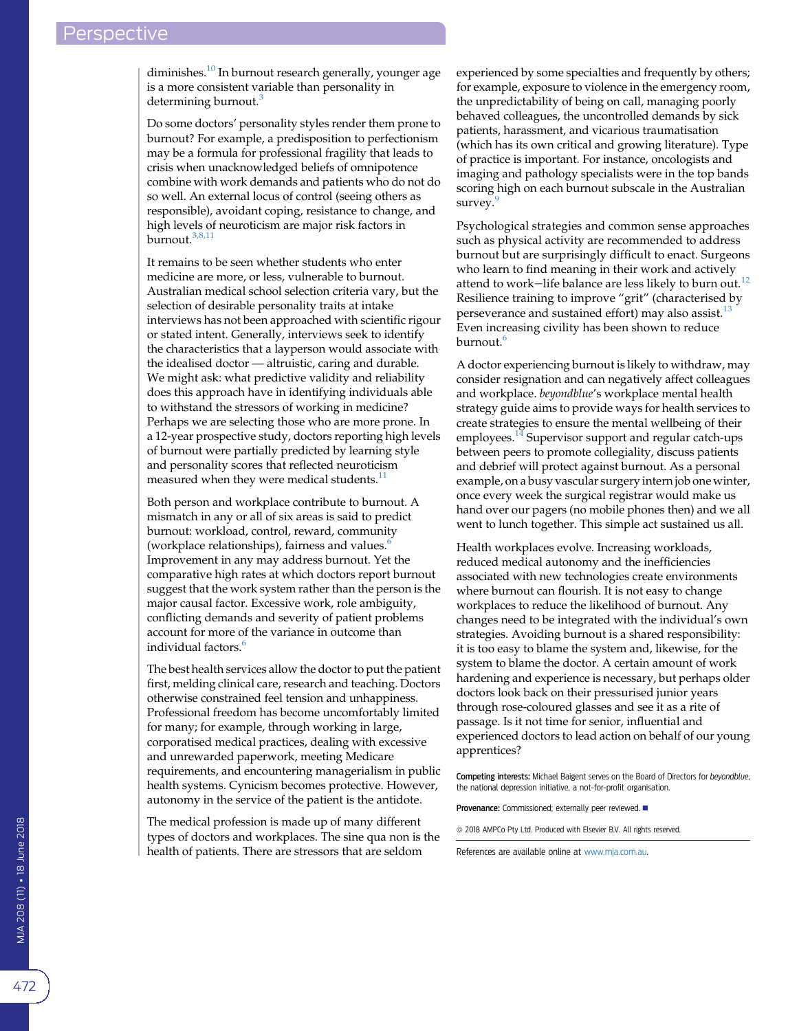diminishes.<sup>[10](#page-2-0)</sup> In burnout research generally, younger age is a more consistent variable than personality in determining burnout.<sup>[3](#page-2-0)</sup>

Do some doctors' personality styles render them prone to burnout? For example, a predisposition to perfectionism may be a formula for professional fragility that leads to crisis when unacknowledged beliefs of omnipotence combine with work demands and patients who do not do so well. An external locus of control (seeing others as responsible), avoidant coping, resistance to change, and high levels of neuroticism are major risk factors in burnout.[3,8,11](#page-2-0)

It remains to be seen whether students who enter medicine are more, or less, vulnerable to burnout. Australian medical school selection criteria vary, but the selection of desirable personality traits at intake interviews has not been approached with scientific rigour or stated intent. Generally, interviews seek to identify the characteristics that a layperson would associate with the idealised doctor — altruistic, caring and durable. We might ask: what predictive validity and reliability does this approach have in identifying individuals able to withstand the stressors of working in medicine? Perhaps we are selecting those who are more prone. In a 12-year prospective study, doctors reporting high levels of burnout were partially predicted by learning style and personality scores that reflected neuroticism measured when they were medical students.<sup>[11](#page-2-0)</sup>

Both person and workplace contribute to burnout. A mismatch in any or all of six areas is said to predict burnout: workload, control, reward, community (workplace relationships), fairness and values.<sup>[6](#page-2-0)</sup> Improvement in any may address burnout. Yet the comparative high rates at which doctors report burnout suggest that the work system rather than the person is the major causal factor. Excessive work, role ambiguity, conflicting demands and severity of patient problems account for more of the variance in outcome than individual factors. $<sup>6</sup>$  $<sup>6</sup>$  $<sup>6</sup>$ </sup>

The best health services allow the doctor to put the patient first, melding clinical care, research and teaching. Doctors otherwise constrained feel tension and unhappiness. Professional freedom has become uncomfortably limited for many; for example, through working in large, corporatised medical practices, dealing with excessive and unrewarded paperwork, meeting Medicare requirements, and encountering managerialism in public health systems. Cynicism becomes protective. However, autonomy in the service of the patient is the antidote.

The medical profession is made up of many different types of doctors and workplaces. The sine qua non is the health of patients. There are stressors that are seldom

experienced by some specialties and frequently by others; for example, exposure to violence in the emergency room, the unpredictability of being on call, managing poorly behaved colleagues, the uncontrolled demands by sick patients, harassment, and vicarious traumatisation (which has its own critical and growing literature). Type of practice is important. For instance, oncologists and imaging and pathology specialists were in the top bands scoring high on each burnout subscale in the Australian survey.

Psychological strategies and common sense approaches such as physical activity are recommended to address burnout but are surprisingly difficult to enact. Surgeons who learn to find meaning in their work and actively attend to work-life balance are less likely to burn out.<sup>[12](#page-2-0)</sup> Resilience training to improve "grit" (characterised by perseverance and sustained effort) may also assist.<sup>[13](#page-2-0)</sup> Even increasing civility has been shown to reduce burnout.<sup>[6](#page-2-0)</sup>

A doctor experiencing burnout is likely to withdraw, may consider resignation and can negatively affect colleagues and workplace. beyondblue's workplace mental health strategy guide aims to provide ways for health services to create strategies to ensure the mental wellbeing of their employees.<sup>[14](#page-2-0)</sup> Supervisor support and regular catch-ups between peers to promote collegiality, discuss patients and debrief will protect against burnout. As a personal example, on a busy vascular surgery intern job one winter, once every week the surgical registrar would make us hand over our pagers (no mobile phones then) and we all went to lunch together. This simple act sustained us all.

Health workplaces evolve. Increasing workloads, reduced medical autonomy and the inefficiencies associated with new technologies create environments where burnout can flourish. It is not easy to change workplaces to reduce the likelihood of burnout. Any changes need to be integrated with the individual's own strategies. Avoiding burnout is a shared responsibility: it is too easy to blame the system and, likewise, for the system to blame the doctor. A certain amount of work hardening and experience is necessary, but perhaps older doctors look back on their pressurised junior years through rose-coloured glasses and see it as a rite of passage. Is it not time for senior, influential and experienced doctors to lead action on behalf of our young apprentices?

Competing interests: Michael Baigent serves on the Board of Directors for beyondblue, the national depression initiative, a not-for-profit organisation.

Provenance: Commissioned; externally peer reviewed.

 $\circledcirc$  2018 AMPCo Pty Ltd. Produced with Elsevier B.V. All rights reserved.

References are available online at [www.mja.com.au.](http://www.mja.com.au)